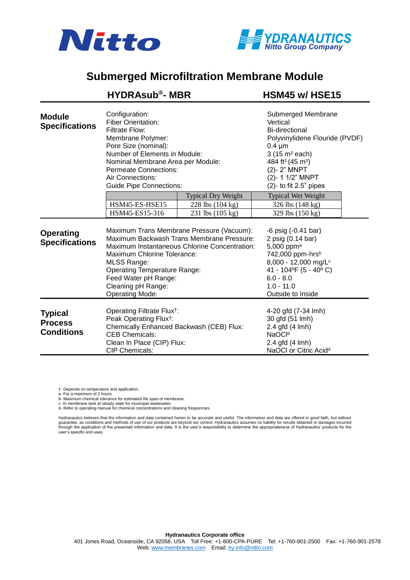



## **Submerged Microfiltration Membrane Module**

|                                                       | <b>HYDRAsub®- MBR</b>                                                                                                                                                                                                                                                                                       |                                                                   | HSM45 w/ HSE15                                                                                                                                                                                                                            |  |
|-------------------------------------------------------|-------------------------------------------------------------------------------------------------------------------------------------------------------------------------------------------------------------------------------------------------------------------------------------------------------------|-------------------------------------------------------------------|-------------------------------------------------------------------------------------------------------------------------------------------------------------------------------------------------------------------------------------------|--|
| <b>Module</b><br><b>Specifications</b>                | Configuration:<br><b>Fiber Orientation:</b><br><b>Filtrate Flow:</b><br>Membrane Polymer:<br>Pore Size (nominal):<br>Number of Elements in Module:<br>Nominal Membrane Area per Module:<br><b>Permeate Connections:</b><br>Air Connections:<br><b>Guide Pipe Connections:</b>                               |                                                                   | Submerged Membrane<br>Vertical<br>Bi-directional<br>Polyvinylidene Flouride (PVDF)<br>$0.4 \mu m$<br>3 (15 m <sup>2</sup> each)<br>484 ft <sup>2</sup> (45 m <sup>2</sup> )<br>(2)-2" MNPT<br>(2)-11/2" MNPT<br>$(2)$ - to fit 2.5" pipes |  |
|                                                       | HSM45-ES-HSE15<br>HSM45-ES15-316                                                                                                                                                                                                                                                                            | <b>Typical Dry Weight</b><br>228 lbs (104 kg)<br>231 lbs (105 kg) | <b>Typical Wet Weight</b><br>326 lbs (148 kg)<br>329 lbs (150 kg)                                                                                                                                                                         |  |
| <b>Operating</b><br><b>Specifications</b>             | Maximum Trans Membrane Pressure (Vacuum):<br>Maximum Backwash Trans Membrane Pressure:<br>Maximum Instantaneous Chlorine Concentration:<br>Maximum Chlorine Tolerance:<br><b>MLSS Range:</b><br><b>Operating Temperature Range:</b><br>Feed Water pH Range:<br>Cleaning pH Range:<br><b>Operating Mode:</b> |                                                                   | $-6$ psig $(-0.41$ bar)<br>2 psig (0.14 bar)<br>5,000 ppm <sup>a</sup><br>742,000 ppm-hrsb<br>8,000 - 12,000 mg/L <sup>c</sup><br>41 - 104°F (5 - 40°C)<br>$6.0 - 8.0$<br>$1.0 - 11.0$<br>Outside to Inside                               |  |
| <b>Typical</b><br><b>Process</b><br><b>Conditions</b> | Operating Filtrate Flux <sup>†</sup> :<br>Peak Operating Flux <sup>†</sup> :<br>Chemically Enhanced Backwash (CEB) Flux:<br><b>CEB Chemicals:</b><br>Clean In Place (CIP) Flux:<br><b>CIP Chemicals:</b>                                                                                                    |                                                                   | 4-20 gfd (7-34 lmh)<br>30 gfd (51 lmh)<br>2.4 gfd (4 lmh)<br>NaOCI <sup>d</sup><br>2.4 gfd $(4 \text{ Imh})$<br>NaOCI or Citric Acid <sup>d</sup>                                                                                         |  |

† -Depends on temperature and application.

a -For a maximum of 2 hours. b- Maximum chemical tolerance for estimated life span of membrane.

c -In membrane tank at steady state for municipal wastewater. d- Refer to operating manual for chemical concentrations and cleaning frequencies.

Hydranautics believes that the information and data contained herein to be accurate and useful. The information and data are offered in good faith, but without guarantee, as conditions and methods of use of our products are beyond our control. Hydranautics assumes no liability for results obtained or damages incurred<br>through the application of the presented information and data. user's specific end uses.